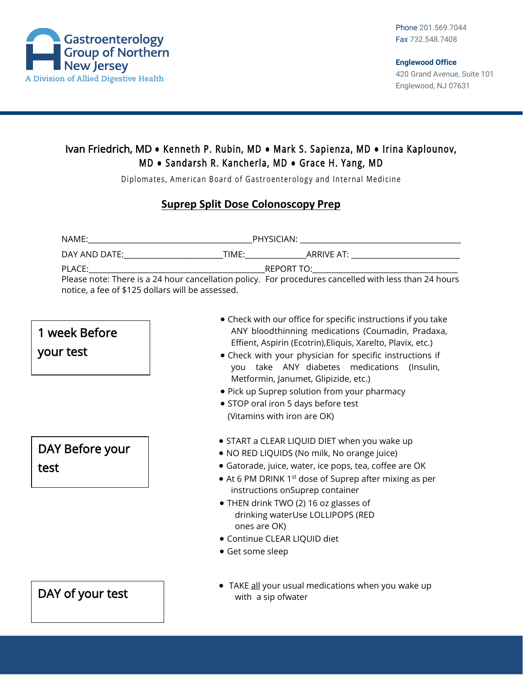

### Ivan Friedrich, MD **●** Kenneth P. Rubin, MD **●** Mark S. Sapienza, MD **●** Irina Kaplounov, M D **●** Sandarsh R. Kancherla, MD **●** Grace H. Yang, MD

Diplomates, American Board of Gastroenterology and Internal Medicine

#### **Suprep Split Dose Colonoscopy Prep**

| NAME:                                                                                                 |       | PHYSICIAN: The contract of the contract of the contract of the contract of the contract of the contract of the |
|-------------------------------------------------------------------------------------------------------|-------|----------------------------------------------------------------------------------------------------------------|
| DAY AND DATE:                                                                                         | TIMF: |                                                                                                                |
| PLACE:                                                                                                |       | REPORT TO: THE REPORT TO:                                                                                      |
| Please note: There is a 24 hour cancellation policy. For procedures cancelled with less than 24 hours |       |                                                                                                                |
| notice, a fee of \$125 dollars will be assessed.                                                      |       |                                                                                                                |

## 1 week Before

your test

# DAY Before your test

- Check with our office for specific instructions if you take ANY bloodthinning medications (Coumadin, Pradaxa, Effient, Aspirin (Ecotrin),Eliquis, Xarelto, Plavix, etc.)
- Check with your physician for specific instructions if you take ANY diabetes medications (Insulin, Metformin, Janumet, Glipizide, etc.)
- Pick up Suprep solution from your pharmacy
- STOP oral iron 5 days before test (Vitamins with iron are OK)
- START a CLEAR LIQUID DIET when you wake up
- NO RED LIQUIDS (No milk, No orange juice)
- Gatorade, juice, water, ice pops, tea, coffee are OK
- At 6 PM DRINK 1<sup>st</sup> dose of Suprep after mixing as per instructions onSuprep container
- THEN drink TWO (2) 16 oz glasses of drinking waterUse LOLLIPOPS (RED ones are OK)
- Continue CLEAR LIQUID diet
- Get some sleep

### $\mathsf{DAY}$  of your test  $\overline{\phantom{a}}$  and  $\overline{\phantom{a}}$  with a sip ofwater

• TAKE all your usual medications when you wake up